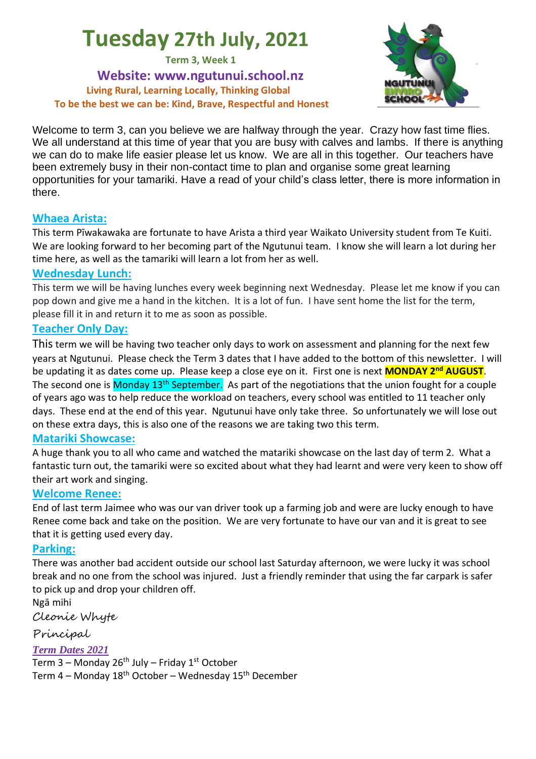# **Tuesday 27th July, 2021**

**Term 3, Week 1**

**Website: www.ngutunui.school.nz Living Rural, Learning Locally, Thinking Global To be the best we can be: Kind, Brave, Respectful and Honest**



Welcome to term 3, can you believe we are halfway through the year. Crazy how fast time flies. We all understand at this time of year that you are busy with calves and lambs. If there is anything we can do to make life easier please let us know. We are all in this together. Our teachers have been extremely busy in their non-contact time to plan and organise some great learning opportunities for your tamariki. Have a read of your child's class letter, there is more information in there.

### **Whaea Arista:**

This term Pīwakawaka are fortunate to have Arista a third year Waikato University student from Te Kuiti. We are looking forward to her becoming part of the Ngutunui team. I know she will learn a lot during her time here, as well as the tamariki will learn a lot from her as well.

### **Wednesday Lunch:**

This term we will be having lunches every week beginning next Wednesday. Please let me know if you can pop down and give me a hand in the kitchen. It is a lot of fun. I have sent home the list for the term, please fill it in and return it to me as soon as possible.

### **Teacher Only Day:**

This term we will be having two teacher only days to work on assessment and planning for the next few years at Ngutunui. Please check the Term 3 dates that I have added to the bottom of this newsletter. I will be updating it as dates come up. Please keep a close eye on it. First one is next **MONDAY 2nd AUGUST**. The second one is Monday 13<sup>th</sup> September. As part of the negotiations that the union fought for a couple of years ago was to help reduce the workload on teachers, every school was entitled to 11 teacher only days. These end at the end of this year. Ngutunui have only take three. So unfortunately we will lose out on these extra days, this is also one of the reasons we are taking two this term.

### **Matariki Showcase:**

A huge thank you to all who came and watched the matariki showcase on the last day of term 2. What a fantastic turn out, the tamariki were so excited about what they had learnt and were very keen to show off their art work and singing.

### **Welcome Renee:**

End of last term Jaimee who was our van driver took up a farming job and were are lucky enough to have Renee come back and take on the position. We are very fortunate to have our van and it is great to see that it is getting used every day.

### **Parking:**

There was another bad accident outside our school last Saturday afternoon, we were lucky it was school break and no one from the school was injured. Just a friendly reminder that using the far carpark is safer to pick up and drop your children off.

Ngā mihi

Cleonie Whyte

Principal

### *Term Dates 2021*

Term 3 – Monday 26<sup>th</sup> July – Friday 1<sup>st</sup> October Term 4 – Monday  $18<sup>th</sup>$  October – Wednesday  $15<sup>th</sup>$  December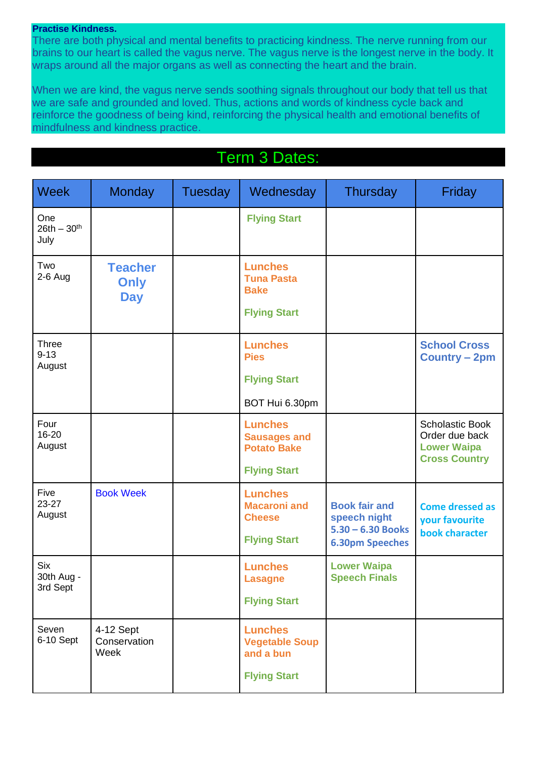#### **Practise Kindness.**

There are both physical and mental benefits to practicing kindness. The nerve running from our brains to our heart is called the vagus nerve. The vagus nerve is the longest nerve in the body. It wraps around all the major organs as well as connecting the heart and the brain.

When we are kind, the vagus nerve sends soothing signals throughout our body that tell us that we are safe and grounded and loved. Thus, actions and words of kindness cycle back and reinforce the goodness of being kind, reinforcing the physical health and emotional benefits of mindfulness and kindness practice.

## Term 3 Dates:

| <b>Week</b>                          | <b>Monday</b>                               | <b>Tuesday</b> | Wednesday                                                                          | <b>Thursday</b>                                                                       | Friday                                                                                 |
|--------------------------------------|---------------------------------------------|----------------|------------------------------------------------------------------------------------|---------------------------------------------------------------------------------------|----------------------------------------------------------------------------------------|
| One<br>$26th - 30th$<br>July         |                                             |                | <b>Flying Start</b>                                                                |                                                                                       |                                                                                        |
| Two<br>$2-6$ Aug                     | <b>Teacher</b><br><b>Only</b><br><b>Day</b> |                | <b>Lunches</b><br><b>Tuna Pasta</b><br><b>Bake</b><br><b>Flying Start</b>          |                                                                                       |                                                                                        |
| <b>Three</b><br>$9 - 13$<br>August   |                                             |                | <b>Lunches</b><br><b>Pies</b><br><b>Flying Start</b><br>BOT Hui 6.30pm             |                                                                                       | <b>School Cross</b><br><b>Country - 2pm</b>                                            |
| Four<br>16-20<br>August              |                                             |                | <b>Lunches</b><br><b>Sausages and</b><br><b>Potato Bake</b><br><b>Flying Start</b> |                                                                                       | <b>Scholastic Book</b><br>Order due back<br><b>Lower Waipa</b><br><b>Cross Country</b> |
| Five<br>$23 - 27$<br>August          | <b>Book Week</b>                            |                | <b>Lunches</b><br><b>Macaroni and</b><br><b>Cheese</b><br><b>Flying Start</b>      | <b>Book fair and</b><br>speech night<br>$5.30 - 6.30$ Books<br><b>6.30pm Speeches</b> | <b>Come dressed as</b><br>your favourite<br>book character                             |
| <b>Six</b><br>30th Aug -<br>3rd Sept |                                             |                | <b>Lunches</b><br><b>Lasagne</b><br><b>Flying Start</b>                            | <b>Lower Waipa</b><br><b>Speech Finals</b>                                            |                                                                                        |
| Seven<br>6-10 Sept                   | 4-12 Sept<br>Conservation<br>Week           |                | <b>Lunches</b><br><b>Vegetable Soup</b><br>and a bun<br><b>Flying Start</b>        |                                                                                       |                                                                                        |